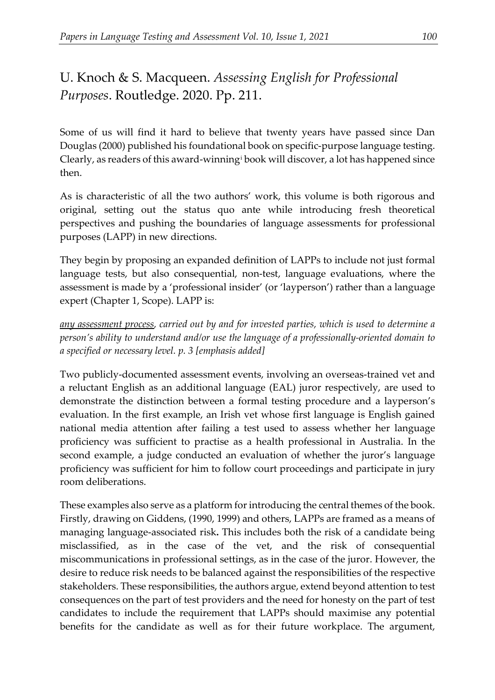## U. Knoch & S. Macqueen. *Assessing English for Professional Purposes*. Routledge. 2020. Pp. 211.

Some of us will find it hard to believe that twenty years have passed since Dan Douglas (2000) published his foundational book on specific-purpose language testing. Clearly, as readers of this award-winning[i](#page-2-0) book will discover, a lot has happened since then.

As is characteristic of all the two authors' work, this volume is both rigorous and original, setting out the status quo ante while introducing fresh theoretical perspectives and pushing the boundaries of language assessments for professional purposes (LAPP) in new directions.

They begin by proposing an expanded definition of LAPPs to include not just formal language tests, but also consequential, non-test, language evaluations, where the assessment is made by a 'professional insider' (or 'layperson') rather than a language expert (Chapter 1, Scope). LAPP is:

*any assessment process, carried out by and for invested parties, which is used to determine a person's ability to understand and/or use the language of a professionally-oriented domain to a specified or necessary level. p. 3 [emphasis added]*

Two publicly-documented assessment events, involving an overseas-trained vet and a reluctant English as an additional language (EAL) juror respectively, are used to demonstrate the distinction between a formal testing procedure and a layperson's evaluation. In the first example, an Irish vet whose first language is English gained national media attention after failing a test used to assess whether her language proficiency was sufficient to practise as a health professional in Australia. In the second example, a judge conducted an evaluation of whether the juror's language proficiency was sufficient for him to follow court proceedings and participate in jury room deliberations.

These examples also serve as a platform for introducing the central themes of the book. Firstly, drawing on Giddens, (1990, 1999) and others, LAPPs are framed as a means of managing language-associated risk**.** This includes both the risk of a candidate being misclassified, as in the case of the vet, and the risk of consequential miscommunications in professional settings, as in the case of the juror. However, the desire to reduce risk needs to be balanced against the responsibilities of the respective stakeholders. These responsibilities, the authors argue, extend beyond attention to test consequences on the part of test providers and the need for honesty on the part of test candidates to include the requirement that LAPPs should maximise any potential benefits for the candidate as well as for their future workplace. The argument,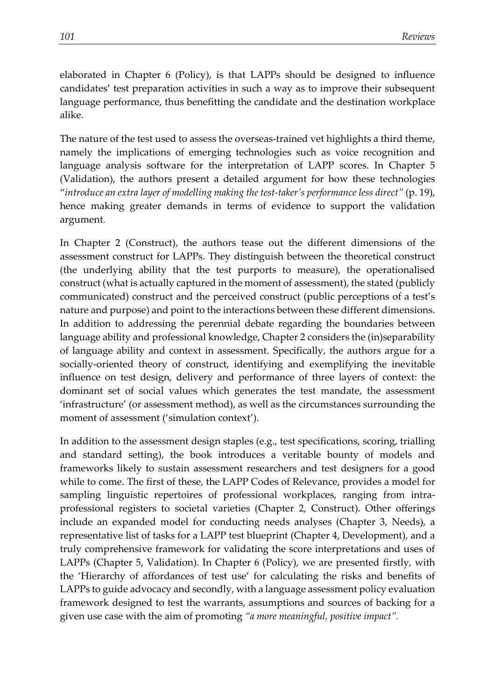elaborated in Chapter 6 (Policy), is that LAPPs should be designed to influence candidates' test preparation activities in such a way as to improve their subsequent language performance, thus benefitting the candidate and the destination workplace alike.

The nature of the test used to assess the overseas-trained vet highlights a third theme, namely the implications of emerging technologies such as voice recognition and language analysis software for the interpretation of LAPP scores. In Chapter 5 (Validation), the authors present a detailed argument for how these technologies "*introduce an extra layer of modelling making the test-taker's performance less direct"* (p. 19), hence making greater demands in terms of evidence to support the validation argument*.*

In Chapter 2 (Construct), the authors tease out the different dimensions of the assessment construct for LAPPs. They distinguish between the theoretical construct (the underlying ability that the test purports to measure), the operationalised construct (what is actually captured in the moment of assessment), the stated (publicly communicated) construct and the perceived construct (public perceptions of a test's nature and purpose) and point to the interactions between these different dimensions. In addition to addressing the perennial debate regarding the boundaries between language ability and professional knowledge, Chapter 2 considers the (in)separability of language ability and context in assessment. Specifically, the authors argue for a socially-oriented theory of construct, identifying and exemplifying the inevitable influence on test design, delivery and performance of three layers of context: the dominant set of social values which generates the test mandate, the assessment 'infrastructure' (or assessment method), as well as the circumstances surrounding the moment of assessment ('simulation context').

In addition to the assessment design staples (e.g., test specifications, scoring, trialling and standard setting), the book introduces a veritable bounty of models and frameworks likely to sustain assessment researchers and test designers for a good while to come. The first of these, the LAPP Codes of Relevance, provides a model for sampling linguistic repertoires of professional workplaces, ranging from intraprofessional registers to societal varieties (Chapter 2, Construct). Other offerings include an expanded model for conducting needs analyses (Chapter 3, Needs), a representative list of tasks for a LAPP test blueprint (Chapter 4, Development), and a truly comprehensive framework for validating the score interpretations and uses of LAPPs (Chapter 5, Validation). In Chapter 6 (Policy), we are presented firstly, with the 'Hierarchy of affordances of test use' for calculating the risks and benefits of LAPPs to guide advocacy and secondly, with a language assessment policy evaluation framework designed to test the warrants, assumptions and sources of backing for a given use case with the aim of promoting *"a more meaningful, positive impact".*